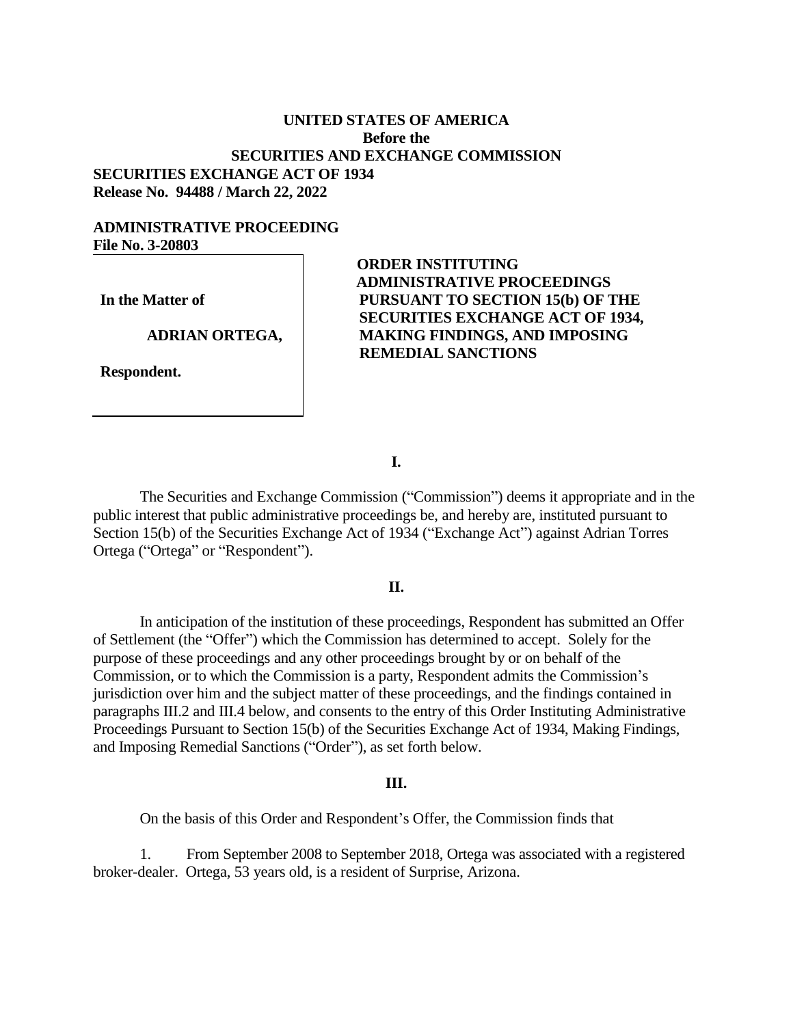# **UNITED STATES OF AMERICA Before the SECURITIES AND EXCHANGE COMMISSION SECURITIES EXCHANGE ACT OF 1934 Release No. 94488 / March 22, 2022**

## **ADMINISTRATIVE PROCEEDING File No. 3-20803**

**In the Matter of**

#### **ADRIAN ORTEGA,**

**Respondent.**

**ORDER INSTITUTING ADMINISTRATIVE PROCEEDINGS PURSUANT TO SECTION 15(b) OF THE SECURITIES EXCHANGE ACT OF 1934, MAKING FINDINGS, AND IMPOSING REMEDIAL SANCTIONS**

**I.**

The Securities and Exchange Commission ("Commission") deems it appropriate and in the public interest that public administrative proceedings be, and hereby are, instituted pursuant to Section 15(b) of the Securities Exchange Act of 1934 ("Exchange Act") against Adrian Torres Ortega ("Ortega" or "Respondent").

### **II.**

In anticipation of the institution of these proceedings, Respondent has submitted an Offer of Settlement (the "Offer") which the Commission has determined to accept. Solely for the purpose of these proceedings and any other proceedings brought by or on behalf of the Commission, or to which the Commission is a party, Respondent admits the Commission's jurisdiction over him and the subject matter of these proceedings, and the findings contained in paragraphs III.2 and III.4 below, and consents to the entry of this Order Instituting Administrative Proceedings Pursuant to Section 15(b) of the Securities Exchange Act of 1934, Making Findings, and Imposing Remedial Sanctions ("Order"), as set forth below.

#### **III.**

On the basis of this Order and Respondent's Offer, the Commission finds that

1. From September 2008 to September 2018, Ortega was associated with a registered broker-dealer. Ortega, 53 years old, is a resident of Surprise, Arizona.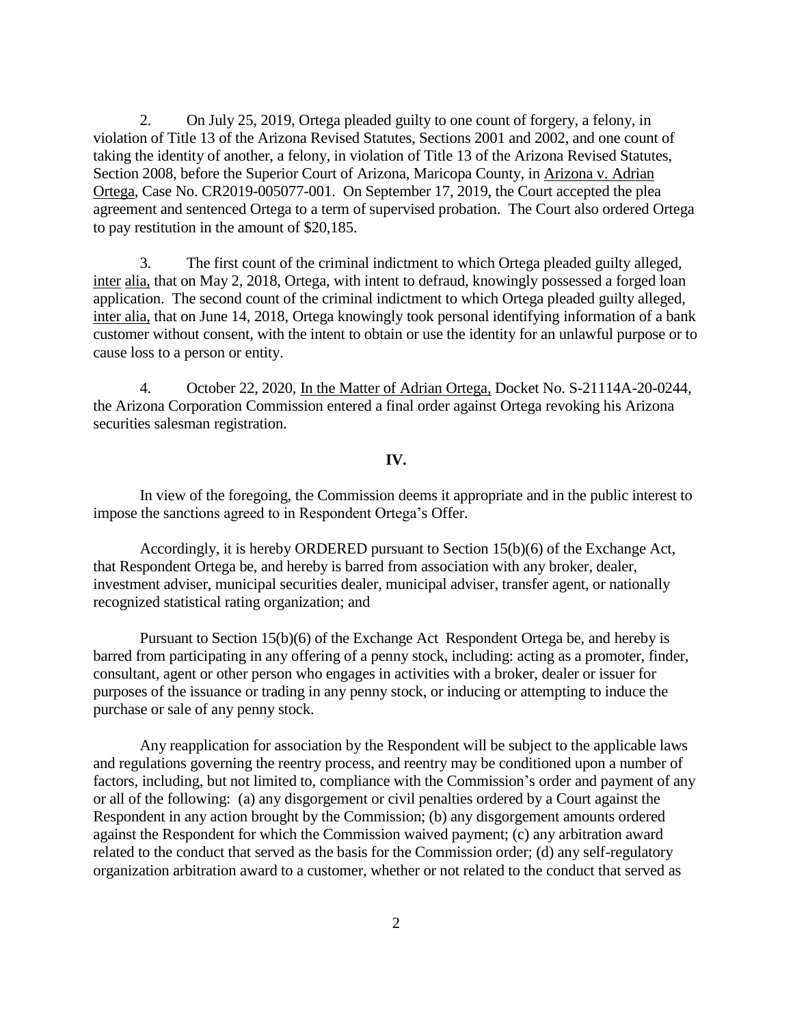2. On July 25, 2019, Ortega pleaded guilty to one count of forgery, a felony, in violation of Title 13 of the Arizona Revised Statutes, Sections 2001 and 2002, and one count of taking the identity of another, a felony, in violation of Title 13 of the Arizona Revised Statutes, Section 2008, before the Superior Court of Arizona, Maricopa County, in Arizona v. Adrian Ortega, Case No. CR2019-005077-001. On September 17, 2019, the Court accepted the plea agreement and sentenced Ortega to a term of supervised probation. The Court also ordered Ortega to pay restitution in the amount of \$20,185.

3. The first count of the criminal indictment to which Ortega pleaded guilty alleged, inter alia, that on May 2, 2018, Ortega, with intent to defraud, knowingly possessed a forged loan application. The second count of the criminal indictment to which Ortega pleaded guilty alleged, inter alia, that on June 14, 2018, Ortega knowingly took personal identifying information of a bank customer without consent, with the intent to obtain or use the identity for an unlawful purpose or to cause loss to a person or entity.

4. October 22, 2020, In the Matter of Adrian Ortega, Docket No. S-21114A-20-0244, the Arizona Corporation Commission entered a final order against Ortega revoking his Arizona securities salesman registration.

### **IV.**

In view of the foregoing, the Commission deems it appropriate and in the public interest to impose the sanctions agreed to in Respondent Ortega's Offer.

Accordingly, it is hereby ORDERED pursuant to Section 15(b)(6) of the Exchange Act, that Respondent Ortega be, and hereby is barred from association with any broker, dealer, investment adviser, municipal securities dealer, municipal adviser, transfer agent, or nationally recognized statistical rating organization; and

Pursuant to Section 15(b)(6) of the Exchange Act Respondent Ortega be, and hereby is barred from participating in any offering of a penny stock, including: acting as a promoter, finder, consultant, agent or other person who engages in activities with a broker, dealer or issuer for purposes of the issuance or trading in any penny stock, or inducing or attempting to induce the purchase or sale of any penny stock.

Any reapplication for association by the Respondent will be subject to the applicable laws and regulations governing the reentry process, and reentry may be conditioned upon a number of factors, including, but not limited to, compliance with the Commission's order and payment of any or all of the following: (a) any disgorgement or civil penalties ordered by a Court against the Respondent in any action brought by the Commission; (b) any disgorgement amounts ordered against the Respondent for which the Commission waived payment; (c) any arbitration award related to the conduct that served as the basis for the Commission order; (d) any self-regulatory organization arbitration award to a customer, whether or not related to the conduct that served as